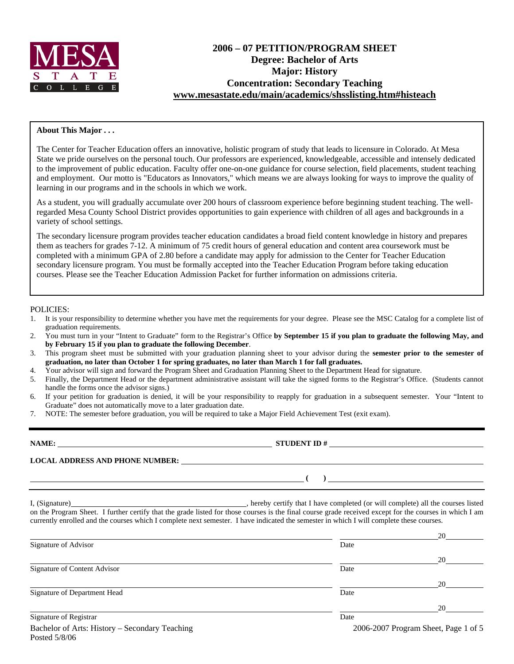

# **2006 – 07 PETITION/PROGRAM SHEET Degree: Bachelor of Arts Major: History Concentration: Secondary Teaching [www.mesastate.edu/main/academics/shsslisting.htm#histeach](http://www.mesastate.edu/main/academics/shsslisting.htm#histeach)**

## **About This Major . . .**

The Center for Teacher Education offers an innovative, holistic program of study that leads to licensure in Colorado. At Mesa State we pride ourselves on the personal touch. Our professors are experienced, knowledgeable, accessible and intensely dedicated to the improvement of public education. Faculty offer one-on-one guidance for course selection, field placements, student teaching and employment. Our motto is "Educators as Innovators," which means we are always looking for ways to improve the quality of learning in our programs and in the schools in which we work.

As a student, you will gradually accumulate over 200 hours of classroom experience before beginning student teaching. The wellregarded Mesa County School District provides opportunities to gain experience with children of all ages and backgrounds in a variety of school settings.

The secondary licensure program provides teacher education candidates a broad field content knowledge in history and prepares them as teachers for grades 7-12. A minimum of 75 credit hours of general education and content area coursework must be completed with a minimum GPA of 2.80 before a candidate may apply for admission to the Center for Teacher Education secondary licensure program. You must be formally accepted into the Teacher Education Program before taking education courses. Please see the Teacher Education Admission Packet for further information on admissions criteria.

#### POLICIES:

- 1. It is your responsibility to determine whether you have met the requirements for your degree. Please see the MSC Catalog for a complete list of graduation requirements.
- 2. You must turn in your "Intent to Graduate" form to the Registrar's Office **by September 15 if you plan to graduate the following May, and by February 15 if you plan to graduate the following December**.
- 3. This program sheet must be submitted with your graduation planning sheet to your advisor during the **semester prior to the semester of graduation, no later than October 1 for spring graduates, no later than March 1 for fall graduates.**
- 4. Your advisor will sign and forward the Program Sheet and Graduation Planning Sheet to the Department Head for signature.
- 5. Finally, the Department Head or the department administrative assistant will take the signed forms to the Registrar's Office. (Students cannot handle the forms once the advisor signs.)
- 6. If your petition for graduation is denied, it will be your responsibility to reapply for graduation in a subsequent semester. Your "Intent to Graduate" does not automatically move to a later graduation date.
- 7. NOTE: The semester before graduation, you will be required to take a Major Field Achievement Test (exit exam).

**NAME: STUDENT ID # LOCAL ADDRESS AND PHONE NUMBER: ( )** 

I, (Signature) , hereby certify that I have completed (or will complete) all the courses listed on the Program Sheet. I further certify that the grade listed for those courses is the final course grade received except for the courses in which I am

| currently enrolled and the courses which I complete next semester. I have indicated the semester in which I will complete these courses. |      |                                      |
|------------------------------------------------------------------------------------------------------------------------------------------|------|--------------------------------------|
|                                                                                                                                          |      | 20                                   |
| Signature of Advisor                                                                                                                     | Date |                                      |
|                                                                                                                                          |      | 20                                   |
| Signature of Content Advisor                                                                                                             | Date |                                      |
|                                                                                                                                          |      | 20                                   |
| Signature of Department Head                                                                                                             | Date |                                      |
|                                                                                                                                          |      | 20                                   |
| Signature of Registrar                                                                                                                   | Date |                                      |
| Bachelor of Arts: History – Secondary Teaching<br>Posted $5/8/06$                                                                        |      | 2006-2007 Program Sheet, Page 1 of 5 |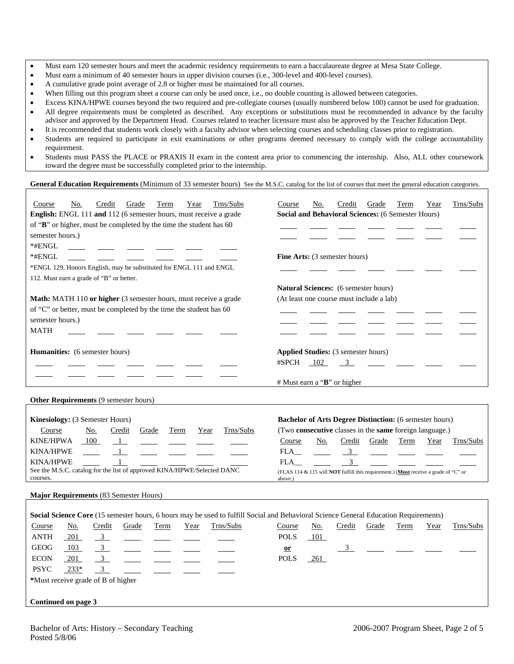- Must earn 120 semester hours and meet the academic residency requirements to earn a baccalaureate degree at Mesa State College.
- Must earn a minimum of 40 semester hours in upper division courses (i.e., 300-level and 400-level courses).
- A cumulative grade point average of 2.8 or higher must be maintained for all courses.
- When filling out this program sheet a course can only be used once, i.e., no double counting is allowed between categories.
- Excess KINA/HPWE courses beyond the two required and pre-collegiate courses (usually numbered below 100) cannot be used for graduation.
- All degree requirements must be completed as described. Any exceptions or substitutions must be recommended in advance by the faculty advisor and approved by the Department Head. Courses related to teacher licensure must also be approved by the Teacher Education Dept.
- It is recommended that students work closely with a faculty advisor when selecting courses and scheduling classes prior to registration.
- Students are required to participate in exit examinations or other programs deemed necessary to comply with the college accountability requirement.
- Students must PASS the PLACE or PRAXIS II exam in the content area prior to commencing the internship. Also, ALL other coursework toward the degree must be successfully completed prior to the internship.

#### General Education Requirements (Minimum of 33 semester hours) See the M.S.C. catalog for the list of courses that meet the general education categories.

| Trns/Subs<br>Course<br>No.<br>Credit<br>Grade<br>Term<br>Year                                                                        | Grade<br>Trns/Subs<br>Course<br>No.<br>Credit<br>Term<br>Year                                         |
|--------------------------------------------------------------------------------------------------------------------------------------|-------------------------------------------------------------------------------------------------------|
| English: ENGL 111 and 112 (6 semester hours, must receive a grade                                                                    | Social and Behavioral Sciences: (6 Semester Hours)                                                    |
| of "B" or higher, must be completed by the time the student has 60                                                                   |                                                                                                       |
| semester hours.)                                                                                                                     |                                                                                                       |
| *#ENGL                                                                                                                               |                                                                                                       |
| *#ENGL                                                                                                                               | <b>Fine Arts:</b> (3 semester hours)                                                                  |
| *ENGL 129, Honors English, may be substituted for ENGL 111 and ENGL                                                                  |                                                                                                       |
| 112. Must earn a grade of "B" or better.                                                                                             |                                                                                                       |
|                                                                                                                                      | <b>Natural Sciences:</b> (6 semester hours)                                                           |
| Math: MATH 110 or higher (3 semester hours, must receive a grade                                                                     | (At least one course must include a lab)                                                              |
| of "C" or better, must be completed by the time the student has 60                                                                   |                                                                                                       |
| semester hours.)                                                                                                                     |                                                                                                       |
| <b>MATH</b>                                                                                                                          |                                                                                                       |
|                                                                                                                                      |                                                                                                       |
| Humanities: (6 semester hours)                                                                                                       | Applied Studies: (3 semester hours)                                                                   |
|                                                                                                                                      | #SPCH<br>102<br>$\overline{\mathbf{3}}$                                                               |
|                                                                                                                                      |                                                                                                       |
|                                                                                                                                      | $#$ Must earn a " <b>B</b> " or higher                                                                |
| Other Requirements (9 semester hours)                                                                                                |                                                                                                       |
|                                                                                                                                      |                                                                                                       |
| Kinesiology: (3 Semester Hours)                                                                                                      | <b>Bachelor of Arts Degree Distinction:</b> (6 semester hours)                                        |
|                                                                                                                                      |                                                                                                       |
| Trns/Subs<br>Course<br><u>No.</u><br>Credit<br>Grade<br>Term<br>Year                                                                 | (Two consecutive classes in the same foreign language.)                                               |
| <b>KINE/HPWA</b><br>100<br>$\mathbf{1}$                                                                                              | Course<br>No.<br>Credit<br>Grade<br>Term<br>Trns/Subs<br>Year                                         |
| <b>KINA/HPWE</b>                                                                                                                     |                                                                                                       |
| <b>KINA/HPWE</b>                                                                                                                     | FLA<br>$\frac{3}{2}$<br>3<br>FLA                                                                      |
| See the M.S.C. catalog for the list of approved KINA/HPWE/Selected DANC<br>courses.                                                  | (FLAS 114 & 115 will <b>NOT</b> fulfill this requirement.) (Must receive a grade of "C" or<br>above.) |
| Major Requirements (83 Semester Hours)                                                                                               |                                                                                                       |
|                                                                                                                                      |                                                                                                       |
| Social Science Core (15 semester hours, 6 hours may be used to fulfill Social and Behavioral Science General Education Requirements) |                                                                                                       |
| Trns/Subs<br>Course<br><u>No.</u><br>Credit<br>Grade<br>Term<br>Year                                                                 | Credit<br>Grade<br>Trns/Subs<br><u>No.</u><br>Term<br><b>Course</b><br>Year                           |
| ANTH<br>$\overline{3}$<br>201                                                                                                        | <b>POLS</b><br>101                                                                                    |
| <b>GEOG</b><br>$\overline{3}$<br>103                                                                                                 | 3<br>$or$                                                                                             |
| 3 <sup>7</sup><br><b>ECON</b><br>201                                                                                                 | <b>POLS</b><br>261                                                                                    |
| $\overline{3}$<br><b>PSYC</b><br>$233*$                                                                                              |                                                                                                       |
| *Must receive grade of B of higher                                                                                                   |                                                                                                       |
|                                                                                                                                      |                                                                                                       |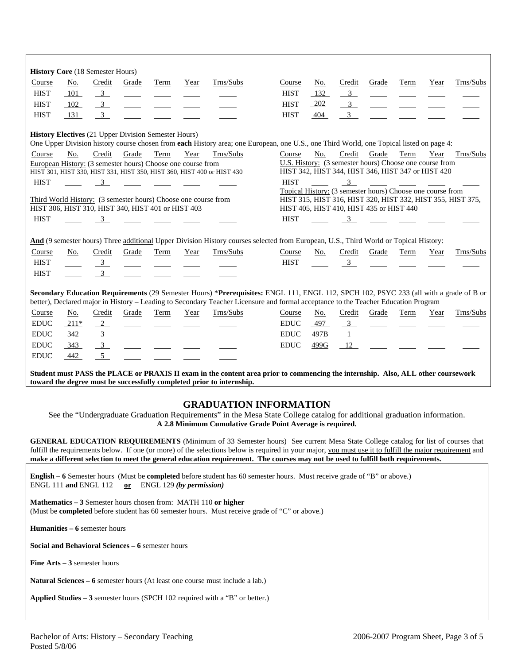| <b>History Core (18 Semester Hours)</b><br>Course                                                                                                                                                                                                                                                                                                                                                                                   | No.                                                                                                                    | Credit                  | Grade                                                                                                                | Term | Year | Trns/Subs                                                                           | Course                                                                                                                                                                                | No.  | Credit                                                                                                        | Grade                    | Term | Year | Trns/Subs                                                   |
|-------------------------------------------------------------------------------------------------------------------------------------------------------------------------------------------------------------------------------------------------------------------------------------------------------------------------------------------------------------------------------------------------------------------------------------|------------------------------------------------------------------------------------------------------------------------|-------------------------|----------------------------------------------------------------------------------------------------------------------|------|------|-------------------------------------------------------------------------------------|---------------------------------------------------------------------------------------------------------------------------------------------------------------------------------------|------|---------------------------------------------------------------------------------------------------------------|--------------------------|------|------|-------------------------------------------------------------|
| <b>HIST</b>                                                                                                                                                                                                                                                                                                                                                                                                                         | 101                                                                                                                    | $\frac{3}{2}$           |                                                                                                                      |      |      |                                                                                     | <b>HIST</b>                                                                                                                                                                           | 132  | $\frac{3}{2}$                                                                                                 |                          |      |      |                                                             |
| <b>HIST</b>                                                                                                                                                                                                                                                                                                                                                                                                                         | 102                                                                                                                    | $\frac{3}{2}$           |                                                                                                                      |      |      |                                                                                     | <b>HIST</b>                                                                                                                                                                           | 202  | $\frac{3}{2}$                                                                                                 | $\sim$                   |      |      |                                                             |
| <b>HIST</b>                                                                                                                                                                                                                                                                                                                                                                                                                         | 131                                                                                                                    | $\overline{\mathbf{3}}$ |                                                                                                                      |      |      |                                                                                     | <b>HIST</b>                                                                                                                                                                           | 404  | $\overline{\mathbf{3}}$                                                                                       |                          |      |      |                                                             |
| <b>History Electives</b> (21 Upper Division Semester Hours)<br>One Upper Division history course chosen from each History area; one European, one U.S., one Third World, one Topical listed on page 4:                                                                                                                                                                                                                              |                                                                                                                        |                         |                                                                                                                      |      |      |                                                                                     |                                                                                                                                                                                       |      |                                                                                                               |                          |      |      |                                                             |
| Course                                                                                                                                                                                                                                                                                                                                                                                                                              |                                                                                                                        |                         |                                                                                                                      |      |      |                                                                                     | Course                                                                                                                                                                                |      | Credit                                                                                                        |                          |      |      |                                                             |
|                                                                                                                                                                                                                                                                                                                                                                                                                                     | No.                                                                                                                    | Credit                  | Grade<br>European History: (3 semester hours) Choose one course from                                                 | Term | Year | Trns/Subs<br>HIST 301, HIST 330, HIST 331, HIST 350, HIST 360, HIST 400 or HIST 430 |                                                                                                                                                                                       | No.  | U.S. History: (3 semester hours) Choose one course from<br>HIST 342, HIST 344, HIST 346, HIST 347 or HIST 420 | Grade                    | Term | Year | Trns/Subs                                                   |
| <b>HIST</b>                                                                                                                                                                                                                                                                                                                                                                                                                         |                                                                                                                        | $\overline{3}$          |                                                                                                                      |      |      |                                                                                     | <b>HIST</b>                                                                                                                                                                           |      | $\overline{\mathbf{3}}$<br>Topical History: (3 semester hours) Choose one course from                         |                          |      |      |                                                             |
|                                                                                                                                                                                                                                                                                                                                                                                                                                     |                                                                                                                        |                         | Third World History: (3 semester hours) Choose one course from<br>HIST 306, HIST 310, HIST 340, HIST 401 or HIST 403 |      |      |                                                                                     |                                                                                                                                                                                       |      | HIST 405, HIST 410, HIST 435 or HIST 440                                                                      |                          |      |      | HIST 315, HIST 316, HIST 320, HIST 332, HIST 355, HIST 375, |
| <b>HIST</b>                                                                                                                                                                                                                                                                                                                                                                                                                         |                                                                                                                        | $\overline{\mathbf{3}}$ |                                                                                                                      |      |      |                                                                                     | <b>HIST</b>                                                                                                                                                                           |      | $\overline{\mathbf{3}}$                                                                                       |                          |      |      |                                                             |
|                                                                                                                                                                                                                                                                                                                                                                                                                                     |                                                                                                                        |                         |                                                                                                                      |      |      |                                                                                     |                                                                                                                                                                                       |      |                                                                                                               |                          |      |      |                                                             |
|                                                                                                                                                                                                                                                                                                                                                                                                                                     |                                                                                                                        |                         |                                                                                                                      |      |      |                                                                                     | And (9 semester hours) Three additional Upper Division History courses selected from European, U.S., Third World or Topical History:                                                  |      |                                                                                                               |                          |      |      |                                                             |
| Course<br><b>HIST</b>                                                                                                                                                                                                                                                                                                                                                                                                               | No.                                                                                                                    | Credit<br>$\frac{3}{2}$ | Grade                                                                                                                | Term | Year | Trns/Subs                                                                           | Course<br><b>HIST</b>                                                                                                                                                                 | No.  | Credit<br>$\frac{3}{2}$                                                                                       | Grade                    | Term | Year | Trns/Subs                                                   |
| <b>HIST</b>                                                                                                                                                                                                                                                                                                                                                                                                                         |                                                                                                                        | $\overline{3}$          |                                                                                                                      |      |      |                                                                                     |                                                                                                                                                                                       |      |                                                                                                               |                          |      |      |                                                             |
|                                                                                                                                                                                                                                                                                                                                                                                                                                     |                                                                                                                        |                         |                                                                                                                      |      |      |                                                                                     |                                                                                                                                                                                       |      |                                                                                                               |                          |      |      |                                                             |
|                                                                                                                                                                                                                                                                                                                                                                                                                                     |                                                                                                                        |                         |                                                                                                                      |      |      |                                                                                     | Secondary Education Requirements (29 Semester Hours) *Prerequisites: ENGL 111, ENGL 112, SPCH 102, PSYC 233 (all with a grade of B or                                                 |      |                                                                                                               |                          |      |      |                                                             |
| Course                                                                                                                                                                                                                                                                                                                                                                                                                              | No.                                                                                                                    | Credit                  | Grade                                                                                                                | Term | Year | Trns/Subs                                                                           | better), Declared major in History - Leading to Secondary Teacher Licensure and formal acceptance to the Teacher Education Program<br>Course                                          | No.  | Credit                                                                                                        | Grade                    | Term | Year | Trns/Subs                                                   |
| <b>EDUC</b>                                                                                                                                                                                                                                                                                                                                                                                                                         | $211*$                                                                                                                 | $\frac{2}{2}$           |                                                                                                                      |      |      |                                                                                     | <b>EDUC</b>                                                                                                                                                                           | 497  | $\frac{3}{2}$                                                                                                 | $\overline{\phantom{a}}$ |      |      |                                                             |
| $\mathop{\rm EDUC}\nolimits$                                                                                                                                                                                                                                                                                                                                                                                                        | 342                                                                                                                    | $\frac{3}{2}$           |                                                                                                                      |      |      |                                                                                     | <b>EDUC</b>                                                                                                                                                                           | 497B | $\frac{1}{\sqrt{2}}$                                                                                          | $\overline{\phantom{a}}$ |      |      |                                                             |
| <b>EDUC</b>                                                                                                                                                                                                                                                                                                                                                                                                                         | 343                                                                                                                    | $\frac{3}{2}$           |                                                                                                                      |      |      |                                                                                     | <b>EDUC</b>                                                                                                                                                                           | 499G | 12                                                                                                            |                          |      |      |                                                             |
| <b>EDUC</b>                                                                                                                                                                                                                                                                                                                                                                                                                         | 442                                                                                                                    | 5                       |                                                                                                                      |      |      |                                                                                     |                                                                                                                                                                                       |      |                                                                                                               |                          |      |      |                                                             |
| Student must PASS the PLACE or PRAXIS II exam in the content area prior to commencing the internship. Also, ALL other coursework<br>toward the degree must be successfully completed prior to internship.                                                                                                                                                                                                                           |                                                                                                                        |                         |                                                                                                                      |      |      |                                                                                     |                                                                                                                                                                                       |      |                                                                                                               |                          |      |      |                                                             |
|                                                                                                                                                                                                                                                                                                                                                                                                                                     |                                                                                                                        |                         |                                                                                                                      |      |      |                                                                                     |                                                                                                                                                                                       |      |                                                                                                               |                          |      |      |                                                             |
|                                                                                                                                                                                                                                                                                                                                                                                                                                     |                                                                                                                        |                         |                                                                                                                      |      |      |                                                                                     | <b>GRADUATION INFORMATION</b>                                                                                                                                                         |      |                                                                                                               |                          |      |      |                                                             |
|                                                                                                                                                                                                                                                                                                                                                                                                                                     |                                                                                                                        |                         |                                                                                                                      |      |      |                                                                                     | See the "Undergraduate Graduation Requirements" in the Mesa State College catalog for additional graduation information.<br>A 2.8 Minimum Cumulative Grade Point Average is required. |      |                                                                                                               |                          |      |      |                                                             |
|                                                                                                                                                                                                                                                                                                                                                                                                                                     |                                                                                                                        |                         |                                                                                                                      |      |      |                                                                                     |                                                                                                                                                                                       |      |                                                                                                               |                          |      |      |                                                             |
| <b>GENERAL EDUCATION REQUIREMENTS</b> (Minimum of 33 Semester hours) See current Mesa State College catalog for list of courses that<br>fulfill the requirements below. If one (or more) of the selections below is required in your major, you must use it to fulfill the major requirement and<br>make a different selection to meet the general education requirement. The courses may not be used to fulfill both requirements. |                                                                                                                        |                         |                                                                                                                      |      |      |                                                                                     |                                                                                                                                                                                       |      |                                                                                                               |                          |      |      |                                                             |
| English – 6 Semester hours (Must be completed before student has 60 semester hours. Must receive grade of "B" or above.)<br>ENGL 111 and ENGL 112<br>ENGL 129 (by permission)<br>or                                                                                                                                                                                                                                                 |                                                                                                                        |                         |                                                                                                                      |      |      |                                                                                     |                                                                                                                                                                                       |      |                                                                                                               |                          |      |      |                                                             |
| Mathematics - 3 Semester hours chosen from: MATH 110 or higher<br>(Must be <b>completed</b> before student has 60 semester hours. Must receive grade of "C" or above.)                                                                                                                                                                                                                                                              |                                                                                                                        |                         |                                                                                                                      |      |      |                                                                                     |                                                                                                                                                                                       |      |                                                                                                               |                          |      |      |                                                             |
| <b>Humanities – 6</b> semester hours                                                                                                                                                                                                                                                                                                                                                                                                |                                                                                                                        |                         |                                                                                                                      |      |      |                                                                                     |                                                                                                                                                                                       |      |                                                                                                               |                          |      |      |                                                             |
|                                                                                                                                                                                                                                                                                                                                                                                                                                     |                                                                                                                        |                         | Social and Behavioral Sciences - 6 semester hours                                                                    |      |      |                                                                                     |                                                                                                                                                                                       |      |                                                                                                               |                          |      |      |                                                             |
|                                                                                                                                                                                                                                                                                                                                                                                                                                     |                                                                                                                        |                         |                                                                                                                      |      |      |                                                                                     |                                                                                                                                                                                       |      |                                                                                                               |                          |      |      |                                                             |
|                                                                                                                                                                                                                                                                                                                                                                                                                                     | Fine $Arts - 3$ semester hours<br><b>Natural Sciences – 6</b> semester hours (At least one course must include a lab.) |                         |                                                                                                                      |      |      |                                                                                     |                                                                                                                                                                                       |      |                                                                                                               |                          |      |      |                                                             |
| Applied Studies - 3 semester hours (SPCH 102 required with a "B" or better.)                                                                                                                                                                                                                                                                                                                                                        |                                                                                                                        |                         |                                                                                                                      |      |      |                                                                                     |                                                                                                                                                                                       |      |                                                                                                               |                          |      |      |                                                             |
|                                                                                                                                                                                                                                                                                                                                                                                                                                     |                                                                                                                        |                         |                                                                                                                      |      |      |                                                                                     |                                                                                                                                                                                       |      |                                                                                                               |                          |      |      |                                                             |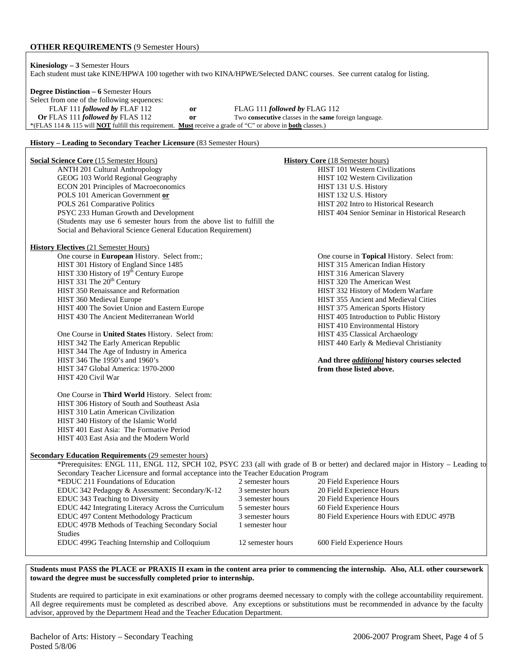### **OTHER REQUIREMENTS** (9 Semester Hours)

**Kinesiology – 3** Semester Hours Each student must take KINE/HPWA 100 together with two KINA/HPWE/Selected DANC courses. See current catalog for listing.

## **Degree Distinction – 6** Semester Hours

Select from one of the following sequences:

 FLAF 111 *followed by* FLAF 112 **or** FLAG 111 *followed by* FLAG 112 **Or** FLAS 111 *followed by* FLAS 112 **or** Two **consecutive** classes in the **same** foreign language. \*(FLAS 114 & 115 will **NOT** fulfill this requirement. **Must** receive a grade of "C" or above in **both** classes.)

#### **History – Leading to Secondary Teacher Licensure** (83 Semester Hours)

| <b>Social Science Core (15 Semester Hours)</b><br><b>ANTH 201 Cultural Anthropology</b><br>GEOG 103 World Regional Geography<br><b>ECON 201 Principles of Macroeconomics</b><br>POLS 101 American Government or<br>POLS 261 Comparative Politics<br>PSYC 233 Human Growth and Development<br>(Students may use 6 semester hours from the above list to fulfill the<br>Social and Behavioral Science General Education Requirement)                                                                                                                                                                                                                                                                                                                                                                                                                                            |                                                                                                                                          | <b>History Core (18 Semester hours)</b><br><b>HIST 101 Western Civilizations</b><br>HIST 102 Western Civilization<br>HIST 131 U.S. History<br>HIST 132 U.S. History<br>HIST 202 Intro to Historical Research<br>HIST 404 Senior Seminar in Historical Research                                                                                                                                                                                                                                                   |
|-------------------------------------------------------------------------------------------------------------------------------------------------------------------------------------------------------------------------------------------------------------------------------------------------------------------------------------------------------------------------------------------------------------------------------------------------------------------------------------------------------------------------------------------------------------------------------------------------------------------------------------------------------------------------------------------------------------------------------------------------------------------------------------------------------------------------------------------------------------------------------|------------------------------------------------------------------------------------------------------------------------------------------|------------------------------------------------------------------------------------------------------------------------------------------------------------------------------------------------------------------------------------------------------------------------------------------------------------------------------------------------------------------------------------------------------------------------------------------------------------------------------------------------------------------|
| <b>History Electives (21 Semester Hours)</b><br>One course in European History. Select from:;<br>HIST 301 History of England Since 1485<br>HIST 330 History of 19 <sup>th</sup> Century Europe<br>HIST 331 The 20 <sup>th</sup> Century<br>HIST 350 Renaissance and Reformation<br>HIST 360 Medieval Europe<br>HIST 400 The Soviet Union and Eastern Europe<br>HIST 430 The Ancient Mediterranean World<br>One Course in United States History. Select from:<br>HIST 342 The Early American Republic<br>HIST 344 The Age of Industry in America<br>HIST 346 The 1950's and 1960's<br>HIST 347 Global America: 1970-2000<br>HIST 420 Civil War<br>One Course in Third World History. Select from:<br>HIST 306 History of South and Southeast Asia<br>HIST 310 Latin American Civilization<br>HIST 340 History of the Islamic World<br>HIST 401 East Asia: The Formative Period |                                                                                                                                          | One course in Topical History. Select from:<br>HIST 315 American Indian History<br>HIST 316 American Slavery<br>HIST 320 The American West<br>HIST 332 History of Modern Warfare<br><b>HIST 355 Ancient and Medieval Cities</b><br>HIST 375 American Sports History<br>HIST 405 Introduction to Public History<br>HIST 410 Environmental History<br>HIST 435 Classical Archaeology<br>HIST 440 Early & Medieval Christianity<br>And three <i>additional</i> history courses selected<br>from those listed above. |
| HIST 403 East Asia and the Modern World<br><b>Secondary Education Requirements (29 semester hours)</b><br>*Prerequisites: ENGL 111, ENGL 112, SPCH 102, PSYC 233 (all with grade of B or better) and declared major in History - Leading to<br>Secondary Teacher Licensure and formal acceptance into the Teacher Education Program<br>*EDUC 211 Foundations of Education<br>EDUC 342 Pedagogy & Assessment: Secondary/K-12<br>EDUC 343 Teaching to Diversity<br>EDUC 442 Integrating Literacy Across the Curriculum<br>EDUC 497 Content Methodology Practicum<br>EDUC 497B Methods of Teaching Secondary Social<br><b>Studies</b><br>EDUC 499G Teaching Internship and Colloquium                                                                                                                                                                                            | 2 semester hours<br>3 semester hours<br>3 semester hours<br>5 semester hours<br>3 semester hours<br>1 semester hour<br>12 semester hours | 20 Field Experience Hours<br>20 Field Experience Hours<br>20 Field Experience Hours<br>60 Field Experience Hours<br>80 Field Experience Hours with EDUC 497B<br>600 Field Experience Hours                                                                                                                                                                                                                                                                                                                       |

**Students must PASS the PLACE or PRAXIS II exam in the content area prior to commencing the internship. Also, ALL other coursework toward the degree must be successfully completed prior to internship.** 

Students are required to participate in exit examinations or other programs deemed necessary to comply with the college accountability requirement. All degree requirements must be completed as described above. Any exceptions or substitutions must be recommended in advance by the faculty advisor, approved by the Department Head and the Teacher Education Department.